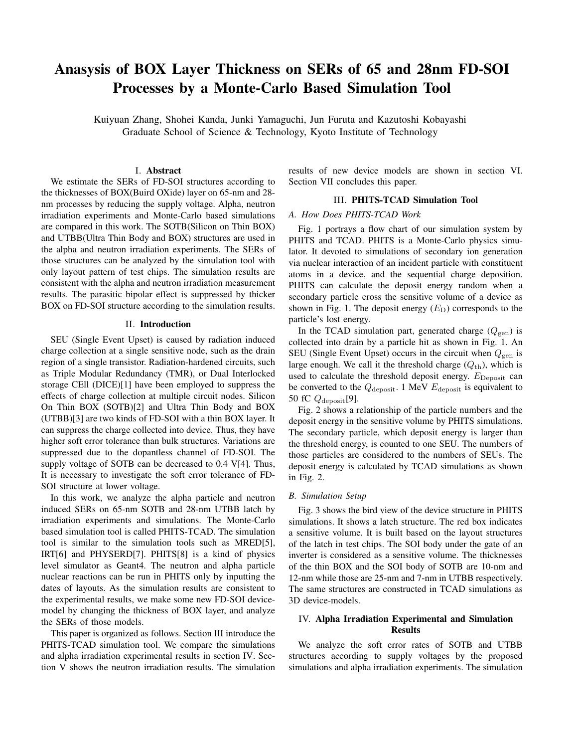# Anasysis of BOX Layer Thickness on SERs of 65 and 28nm FD-SOI Processes by a Monte-Carlo Based Simulation Tool

Kuiyuan Zhang, Shohei Kanda, Junki Yamaguchi, Jun Furuta and Kazutoshi Kobayashi Graduate School of Science & Technology, Kyoto Institute of Technology

# I. Abstract

We estimate the SERs of FD-SOI structures according to the thicknesses of BOX(Buird OXide) layer on 65-nm and 28 nm processes by reducing the supply voltage. Alpha, neutron irradiation experiments and Monte-Carlo based simulations are compared in this work. The SOTB(Silicon on Thin BOX) and UTBB(Ultra Thin Body and BOX) structures are used in the alpha and neutron irradiation experiments. The SERs of those structures can be analyzed by the simulation tool with only layout pattern of test chips. The simulation results are consistent with the alpha and neutron irradiation measurement results. The parasitic bipolar effect is suppressed by thicker BOX on FD-SOI structure according to the simulation results.

### II. Introduction

SEU (Single Event Upset) is caused by radiation induced charge collection at a single sensitive node, such as the drain region of a single transistor. Radiation-hardened circuits, such as Triple Modular Redundancy (TMR), or Dual Interlocked storage CEll (DICE)[1] have been employed to suppress the effects of charge collection at multiple circuit nodes. Silicon On Thin BOX (SOTB)[2] and Ultra Thin Body and BOX (UTBB)[3] are two kinds of FD-SOI with a thin BOX layer. It can suppress the charge collected into device. Thus, they have higher soft error tolerance than bulk structures. Variations are suppressed due to the dopantless channel of FD-SOI. The supply voltage of SOTB can be decreased to 0.4 V[4]. Thus, It is necessary to investigate the soft error tolerance of FD-SOI structure at lower voltage.

In this work, we analyze the alpha particle and neutron induced SERs on 65-nm SOTB and 28-nm UTBB latch by irradiation experiments and simulations. The Monte-Carlo based simulation tool is called PHITS-TCAD. The simulation tool is similar to the simulation tools such as MRED[5], IRT[6] and PHYSERD[7]. PHITS[8] is a kind of physics level simulator as Geant4. The neutron and alpha particle nuclear reactions can be run in PHITS only by inputting the dates of layouts. As the simulation results are consistent to the experimental results, we make some new FD-SOI devicemodel by changing the thickness of BOX layer, and analyze the SERs of those models.

This paper is organized as follows. Section III introduce the PHITS-TCAD simulation tool. We compare the simulations and alpha irradiation experimental results in section IV. Section V shows the neutron irradiation results. The simulation

results of new device models are shown in section VI. Section VII concludes this paper.

### III. PHITS-TCAD Simulation Tool

### *A. How Does PHITS-TCAD Work*

Fig. 1 portrays a flow chart of our simulation system by PHITS and TCAD. PHITS is a Monte-Carlo physics simulator. It devoted to simulations of secondary ion generation via nuclear interaction of an incident particle with constituent atoms in a device, and the sequential charge deposition. PHITS can calculate the deposit energy random when a secondary particle cross the sensitive volume of a device as shown in Fig. 1. The deposit energy  $(E<sub>D</sub>)$  corresponds to the particle's lost energy.

In the TCAD simulation part, generated charge  $(Q_{gen})$  is collected into drain by a particle hit as shown in Fig. 1. An SEU (Single Event Upset) occurs in the circuit when  $Q_{\text{gen}}$  is large enough. We call it the threshold charge  $(Q<sub>th</sub>)$ , which is used to calculate the threshold deposit energy.  $E_{\text{Deposit}}$  can be converted to the *Q*deposit. 1 MeV *E*deposit is equivalent to 50 fC *Q*deposit[9].

Fig. 2 shows a relationship of the particle numbers and the deposit energy in the sensitive volume by PHITS simulations. The secondary particle, which deposit energy is larger than the threshold energy, is counted to one SEU. The numbers of those particles are considered to the numbers of SEUs. The deposit energy is calculated by TCAD simulations as shown in Fig. 2.

#### *B. Simulation Setup*

Fig. 3 shows the bird view of the device structure in PHITS simulations. It shows a latch structure. The red box indicates a sensitive volume. It is built based on the layout structures of the latch in test chips. The SOI body under the gate of an inverter is considered as a sensitive volume. The thicknesses of the thin BOX and the SOI body of SOTB are 10-nm and 12-nm while those are 25-nm and 7-nm in UTBB respectively. The same structures are constructed in TCAD simulations as 3D device-models.

# IV. Alpha Irradiation Experimental and Simulation Results

We analyze the soft error rates of SOTB and UTBB structures according to supply voltages by the proposed simulations and alpha irradiation experiments. The simulation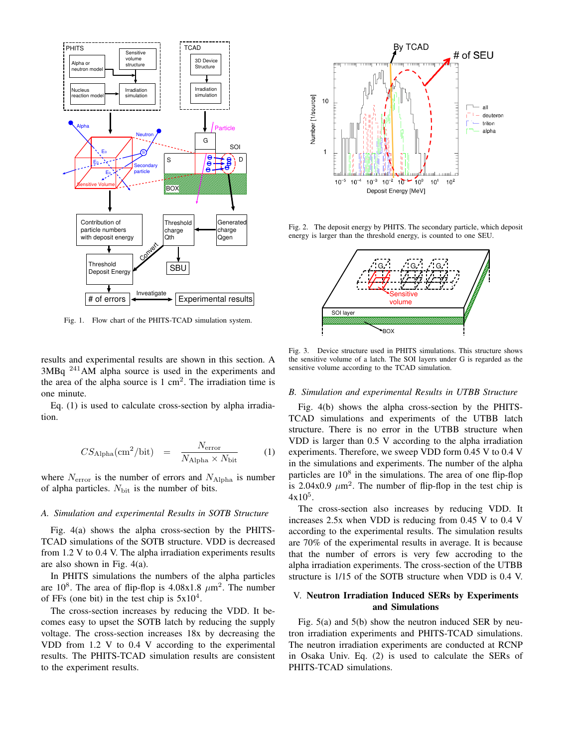

Fig. 1. Flow chart of the PHITS-TCAD simulation system.

results and experimental results are shown in this section. A 3MBq <sup>241</sup>AM alpha source is used in the experiments and the area of the alpha source is  $1 \text{ cm}^2$ . The irradiation time is one minute.

Eq. (1) is used to calculate cross-section by alpha irradiation.

$$
CS_{\text{Alpha}}(\text{cm}^2/\text{bit}) = \frac{N_{\text{error}}}{N_{\text{Alpha}} \times N_{\text{bit}}} \tag{1}
$$

where  $N<sub>error</sub>$  is the number of errors and  $N<sub>Alpha</sub>$  is number of alpha particles. N<sub>bit</sub> is the number of bits.

## *A. Simulation and experimental Results in SOTB Structure*

Fig. 4(a) shows the alpha cross-section by the PHITS-TCAD simulations of the SOTB structure. VDD is decreased from 1.2 V to 0.4 V. The alpha irradiation experiments results are also shown in Fig. 4(a).

In PHITS simulations the numbers of the alpha particles are  $10^8$ . The area of flip-flop is  $4.08 \times 1.8$   $\mu$ m<sup>2</sup>. The number of FFs (one bit) in the test chip is  $5x10^4$ .

The cross-section increases by reducing the VDD. It becomes easy to upset the SOTB latch by reducing the supply voltage. The cross-section increases 18x by decreasing the VDD from 1.2 V to 0.4 V according to the experimental results. The PHITS-TCAD simulation results are consistent to the experiment results.



Fig. 2. The deposit energy by PHITS. The secondary particle, which deposit energy is larger than the threshold energy, is counted to one SEU.



Fig. 3. Device structure used in PHITS simulations. This structure shows the sensitive volume of a latch. The SOI layers under G is regarded as the sensitive volume according to the TCAD simulation.

#### *B. Simulation and experimental Results in UTBB Structure*

Fig. 4(b) shows the alpha cross-section by the PHITS-TCAD simulations and experiments of the UTBB latch structure. There is no error in the UTBB structure when VDD is larger than 0.5 V according to the alpha irradiation experiments. Therefore, we sweep VDD form 0.45 V to 0.4 V in the simulations and experiments. The number of the alpha particles are 10<sup>8</sup> in the simulations. The area of one flip-flop is  $2.04x0.9 \ \mu m^2$ . The number of flip-flop in the test chip is  $4x10^5$ .

The cross-section also increases by reducing VDD. It increases 2.5x when VDD is reducing from 0.45 V to 0.4 V according to the experimental results. The simulation results are 70% of the experimental results in average. It is because that the number of errors is very few accroding to the alpha irradiation experiments. The cross-section of the UTBB structure is 1/15 of the SOTB structure when VDD is 0.4 V.

## V. Neutron Irradiation Induced SERs by Experiments and Simulations

Fig. 5(a) and 5(b) show the neutron induced SER by neutron irradiation experiments and PHITS-TCAD simulations. The neutron irradiation experiments are conducted at RCNP in Osaka Univ. Eq. (2) is used to calculate the SERs of PHITS-TCAD simulations.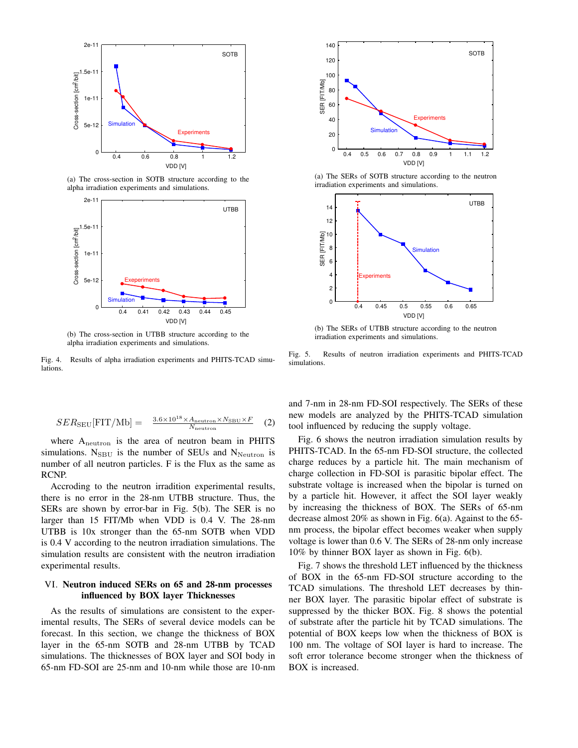

(a) The cross-section in SOTB structure according to the alpha irradiation experiments and simulations.



(b) The cross-section in UTBB structure according to the alpha irradiation experiments and simulations.

Fig. 4. Results of alpha irradiation experiments and PHITS-TCAD simulations.

$$
SER_{\text{SEU}}[\text{FIT}/\text{Mb}] = \frac{3.6 \times 10^{18} \times A_{\text{neutron}} \times N_{\text{SBU}} \times F}{N_{\text{neutron}}}
$$
 (2)

where Aneutron is the area of neutron beam in PHITS simulations.  $N_{SBU}$  is the number of SEUs and  $N_{Neutron}$  is number of all neutron particles. F is the Flux as the same as RCNP.

Accroding to the neutron irradition experimental results, there is no error in the 28-nm UTBB structure. Thus, the SERs are shown by error-bar in Fig. 5(b). The SER is no larger than 15 FIT/Mb when VDD is 0.4 V. The 28-nm UTBB is 10x stronger than the 65-nm SOTB when VDD is 0.4 V according to the neutron irradiation simulations. The simulation results are consistent with the neutron irradiation experimental results.

## VI. Neutron induced SERs on 65 and 28-nm processes influenced by BOX layer Thicknesses

As the results of simulations are consistent to the experimental results, The SERs of several device models can be forecast. In this section, we change the thickness of BOX layer in the 65-nm SOTB and 28-nm UTBB by TCAD simulations. The thicknesses of BOX layer and SOI body in 65-nm FD-SOI are 25-nm and 10-nm while those are 10-nm



(a) The SERs of SOTB structure according to the neutron irradiation experiments and simulations.



(b) The SERs of UTBB structure according to the neutron irradiation experiments and simulations.

Fig. 5. Results of neutron irradiation experiments and PHITS-TCAD simulations.

and 7-nm in 28-nm FD-SOI respectively. The SERs of these new models are analyzed by the PHITS-TCAD simulation tool influenced by reducing the supply voltage.

Fig. 6 shows the neutron irradiation simulation results by PHITS-TCAD. In the 65-nm FD-SOI structure, the collected charge reduces by a particle hit. The main mechanism of charge collection in FD-SOI is parasitic bipolar effect. The substrate voltage is increased when the bipolar is turned on by a particle hit. However, it affect the SOI layer weakly by increasing the thickness of BOX. The SERs of 65-nm decrease almost 20% as shown in Fig. 6(a). Against to the 65 nm process, the bipolar effect becomes weaker when supply voltage is lower than 0.6 V. The SERs of 28-nm only increase 10% by thinner BOX layer as shown in Fig. 6(b).

Fig. 7 shows the threshold LET influenced by the thickness of BOX in the 65-nm FD-SOI structure according to the TCAD simulations. The threshold LET decreases by thinner BOX layer. The parasitic bipolar effect of substrate is suppressed by the thicker BOX. Fig. 8 shows the potential of substrate after the particle hit by TCAD simulations. The potential of BOX keeps low when the thickness of BOX is 100 nm. The voltage of SOI layer is hard to increase. The soft error tolerance become stronger when the thickness of BOX is increased.